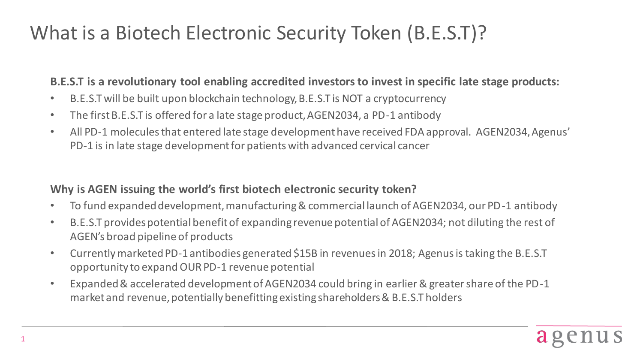# What is a Biotech Electronic Security Token (B.E.S.T)?

#### **B.E.S.T is a revolutionary tool enabling accredited investors to invest in specific late stage products:**

- B.E.S.T will be built upon blockchain technology, B.E.S.T is NOT a cryptocurrency
- The first B.E.S.T is offered for a late stage product, AGEN2034, a PD-1 antibody
- All PD-1 molecules that entered late stage development have received FDA approval. AGEN2034, Agenus' PD-1 is in late stage development for patients with advanced cervical cancer

### **Why is AGEN issuing the world's first biotech electronic security token?**

- To fund expanded development, manufacturing & commercial launch of AGEN2034, our PD-1 antibody
- B.E.S.T provides potential benefit of expanding revenue potential of AGEN2034; not diluting the rest of AGEN's broad pipeline of products
- Currently marketed PD-1 antibodies generated \$15B in revenues in 2018; Agenus is taking the B.E.S.T opportunity to expand OUR PD-1 revenue potential
- Expanded & accelerated development of AGEN2034 could bring in earlier & greater share of the PD-1 market and revenue, potentially benefitting existing shareholders & B.E.S.T holders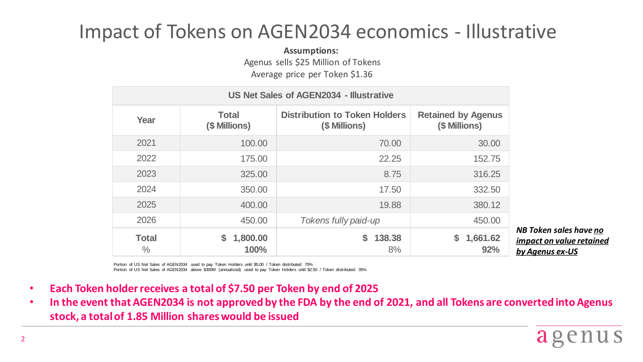## Impact of Tokens on AGEN2034 economics - Illustrative

**Assumptions:**

Agenus sells \$25 Million of Tokens

Average price per Token \$1.36

| US Net Sales of AGEN2034 - Illustrative |                        |                                                       |                                            |
|-----------------------------------------|------------------------|-------------------------------------------------------|--------------------------------------------|
| Year                                    | Total<br>(\$ Millions) | <b>Distribution to Token Holders</b><br>(\$ Millions) | <b>Retained by Agenus</b><br>(\$ Millions) |
| 2021                                    | 100.00                 | 70.00                                                 | 30.00                                      |
| 2022                                    | 175.00                 | 22.25                                                 | 152.75                                     |
| 2023                                    | 325.00                 | 8.75                                                  | 316.25                                     |
| 2024                                    | 350.00                 | 17.50                                                 | 332.50                                     |
| 2025                                    | 400.00                 | 19.88                                                 | 380.12                                     |
| 2026                                    | 450.00                 | Tokens fully paid-up                                  | 450.00                                     |
| <b>Total</b><br>$\%$                    | 1,800.00<br>S.<br>100% | 138.38<br>S.<br>8%                                    | \$<br>1,661.62<br>92%                      |

*NB Token sales have no impact on value retained by Agenus ex-US*

Portion of US Net Sales of AGEN2034 used to pay Token Holders until \$5.00 / Token distributed: 70%

Portion of US Net Sales of AGEN2034 above \$300M (annualized) used to pay Token Holders until \$2.50 / Token distributed: 35%

- **Each Token holder receives a total of \$7.50 per Token by end of 2025**
- **In the event that AGEN2034 is not approved by the FDA by the end of 2021, and all Tokens are converted into Agenus stock, a total of 1.85 Million shares would be issued**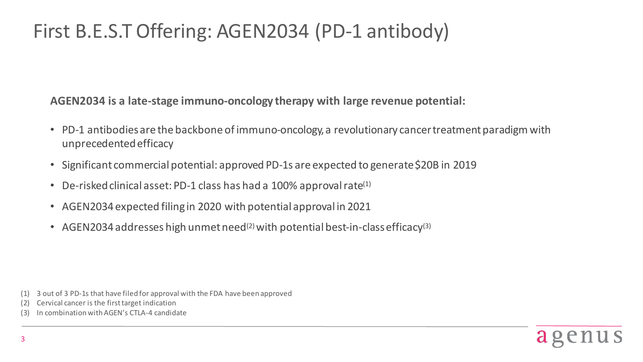## First B.E.S.T Offering: AGEN2034 (PD-1 antibody)

**AGEN2034 is a late-stage immuno-oncology therapy with large revenue potential:**

- PD-1 antibodies are the backbone of immuno-oncology, a revolutionary cancer treatment paradigm with unprecedented efficacy
- Significant commercial potential: approved PD-1s are expected to generate \$20B in 2019
- De-risked clinical asset: PD-1 class has had a 100% approval rate $(1)$
- AGEN2034 expected filing in 2020 with potential approval in 2021
- AGEN2034 addresses high unmet need<sup>(2)</sup> with potential best-in-class efficacy<sup>(3)</sup>

- (2) Cervical cancer is the firsttarget indication
- In combination with AGEN's CTLA-4 candidate



<sup>(1)</sup> 3 out of 3 PD-1s that have filed for approval with the FDA have been approved